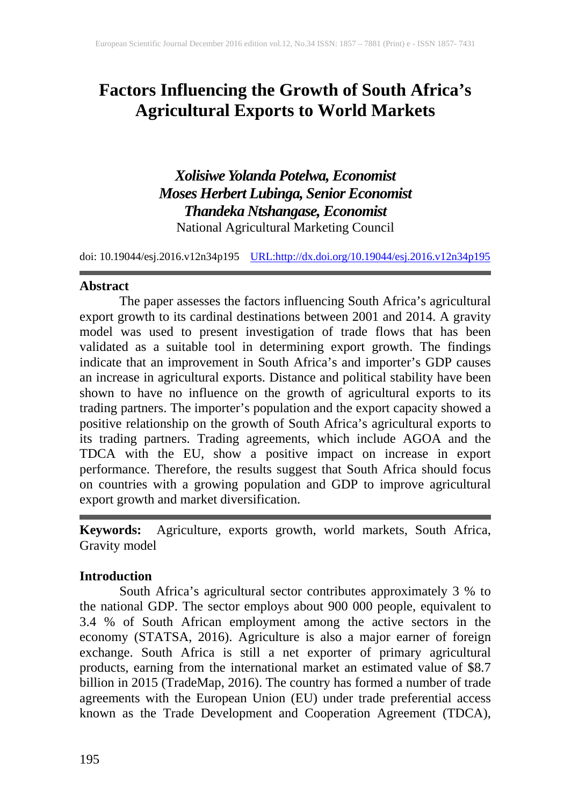# **Factors Influencing the Growth of South Africa's Agricultural Exports to World Markets**

*Xolisiwe Yolanda Potelwa, Economist Moses Herbert Lubinga, Senior Economist Thandeka Ntshangase, Economist* National Agricultural Marketing Council

doi: 10.19044/esj.2016.v12n34p195 [URL:http://dx.doi.org/10.19044/esj.2016.v12n34p195](http://dx.doi.org/10.19044/esj.2016.v12n34p195)

#### **Abstract**

The paper assesses the factors influencing South Africa's agricultural export growth to its cardinal destinations between 2001 and 2014. A gravity model was used to present investigation of trade flows that has been validated as a suitable tool in determining export growth. The findings indicate that an improvement in South Africa's and importer's GDP causes an increase in agricultural exports. Distance and political stability have been shown to have no influence on the growth of agricultural exports to its trading partners. The importer's population and the export capacity showed a positive relationship on the growth of South Africa's agricultural exports to its trading partners. Trading agreements, which include AGOA and the TDCA with the EU, show a positive impact on increase in export performance. Therefore, the results suggest that South Africa should focus on countries with a growing population and GDP to improve agricultural export growth and market diversification.

**Keywords:** Agriculture, exports growth, world markets, South Africa, Gravity model

### **Introduction**

South Africa's agricultural sector contributes approximately 3 % to the national GDP. The sector employs about 900 000 people, equivalent to 3.4 % of South African employment among the active sectors in the economy (STATSA, 2016). Agriculture is also a major earner of foreign exchange. South Africa is still a net exporter of primary agricultural products, earning from the international market an estimated value of \$8.7 billion in 2015 (TradeMap, 2016). The country has formed a number of trade agreements with the European Union (EU) under trade preferential access known as the Trade Development and Cooperation Agreement (TDCA),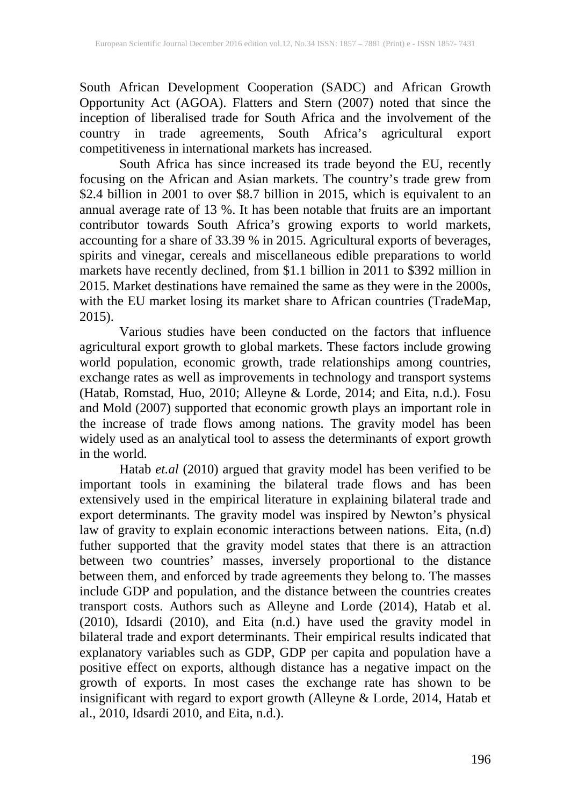South African Development Cooperation (SADC) and African Growth Opportunity Act (AGOA). Flatters and Stern (2007) noted that since the inception of liberalised trade for South Africa and the involvement of the country in trade agreements, South Africa's agricultural export competitiveness in international markets has increased.

South Africa has since increased its trade beyond the EU, recently focusing on the African and Asian markets. The country's trade grew from \$2.4 billion in 2001 to over \$8.7 billion in 2015, which is equivalent to an annual average rate of 13 %. It has been notable that fruits are an important contributor towards South Africa's growing exports to world markets, accounting for a share of 33.39 % in 2015. Agricultural exports of beverages, spirits and vinegar, cereals and miscellaneous edible preparations to world markets have recently declined, from \$1.1 billion in 2011 to \$392 million in 2015. Market destinations have remained the same as they were in the 2000s, with the EU market losing its market share to African countries (TradeMap, 2015).

Various studies have been conducted on the factors that influence agricultural export growth to global markets. These factors include growing world population, economic growth, trade relationships among countries, exchange rates as well as improvements in technology and transport systems (Hatab, Romstad, Huo, 2010; Alleyne & Lorde, 2014; and Eita, n.d.). Fosu and Mold (2007) supported that economic growth plays an important role in the increase of trade flows among nations. The gravity model has been widely used as an analytical tool to assess the determinants of export growth in the world.

Hatab *et.al* (2010) argued that gravity model has been verified to be important tools in examining the bilateral trade flows and has been extensively used in the empirical literature in explaining bilateral trade and export determinants. The gravity model was inspired by Newton's physical law of gravity to explain economic interactions between nations. Eita, (n.d) futher supported that the gravity model states that there is an attraction between two countries' masses, inversely proportional to the distance between them, and enforced by trade agreements they belong to. The masses include GDP and population, and the distance between the countries creates transport costs. Authors such as Alleyne and Lorde (2014), Hatab et al. (2010), Idsardi (2010), and Eita (n.d.) have used the gravity model in bilateral trade and export determinants. Their empirical results indicated that explanatory variables such as GDP, GDP per capita and population have a positive effect on exports, although distance has a negative impact on the growth of exports. In most cases the exchange rate has shown to be insignificant with regard to export growth (Alleyne & Lorde, 2014, Hatab et al., 2010, Idsardi 2010, and Eita, n.d.).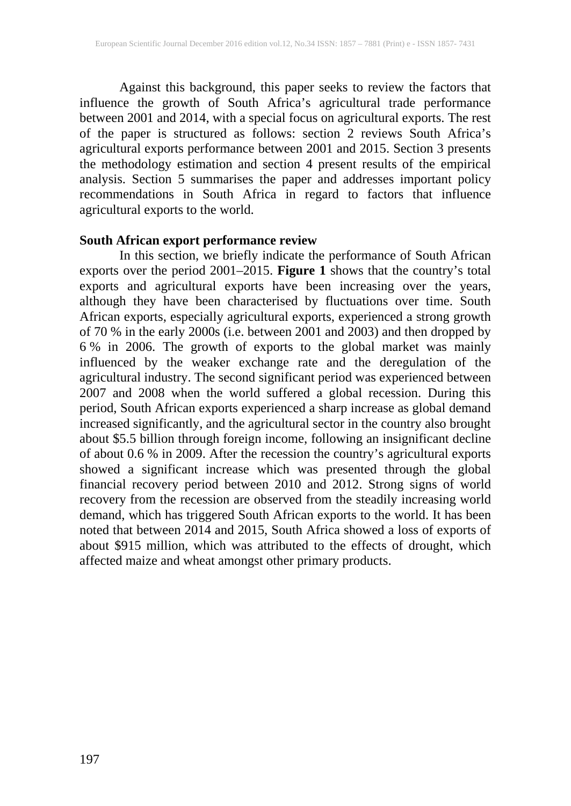Against this background, this paper seeks to review the factors that influence the growth of South Africa's agricultural trade performance between 2001 and 2014, with a special focus on agricultural exports. The rest of the paper is structured as follows: section 2 reviews South Africa's agricultural exports performance between 2001 and 2015. Section 3 presents the methodology estimation and section 4 present results of the empirical analysis. Section 5 summarises the paper and addresses important policy recommendations in South Africa in regard to factors that influence agricultural exports to the world.

### **South African export performance review**

In this section, we briefly indicate the performance of South African exports over the period 2001–2015. **Figure 1** shows that the country's total exports and agricultural exports have been increasing over the years, although they have been characterised by fluctuations over time. South African exports, especially agricultural exports, experienced a strong growth of 70 % in the early 2000s (i.e. between 2001 and 2003) and then dropped by 6 % in 2006. The growth of exports to the global market was mainly influenced by the weaker exchange rate and the deregulation of the agricultural industry. The second significant period was experienced between 2007 and 2008 when the world suffered a global recession. During this period, South African exports experienced a sharp increase as global demand increased significantly, and the agricultural sector in the country also brought about \$5.5 billion through foreign income, following an insignificant decline of about 0.6 % in 2009. After the recession the country's agricultural exports showed a significant increase which was presented through the global financial recovery period between 2010 and 2012. Strong signs of world recovery from the recession are observed from the steadily increasing world demand, which has triggered South African exports to the world. It has been noted that between 2014 and 2015, South Africa showed a loss of exports of about \$915 million, which was attributed to the effects of drought, which affected maize and wheat amongst other primary products.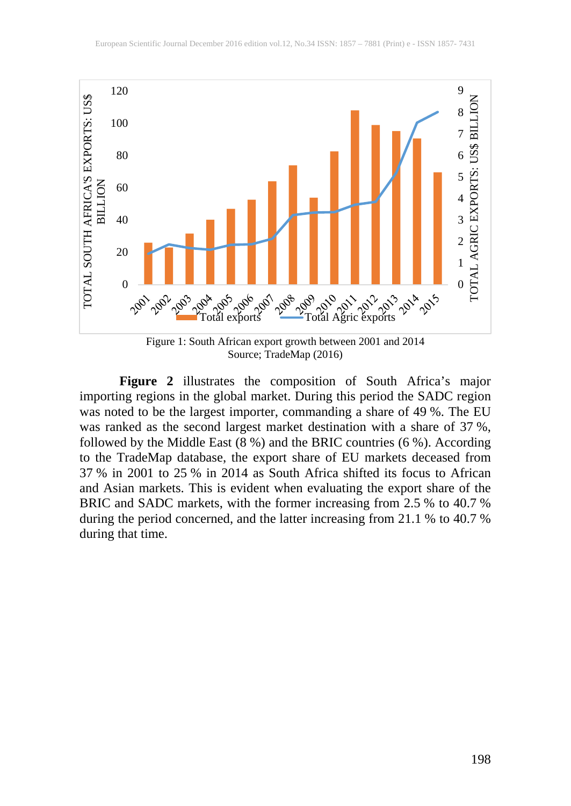

**Figure 2** illustrates the composition of South Africa's major importing regions in the global market. During this period the SADC region was noted to be the largest importer, commanding a share of 49 %. The EU was ranked as the second largest market destination with a share of 37 %, followed by the Middle East  $(8\%)$  and the BRIC countries  $(6\%)$ . According to the TradeMap database, the export share of EU markets deceased from 37 % in 2001 to 25 % in 2014 as South Africa shifted its focus to African and Asian markets. This is evident when evaluating the export share of the BRIC and SADC markets, with the former increasing from 2.5 % to 40.7 % during the period concerned, and the latter increasing from 21.1 % to 40.7 % during that time.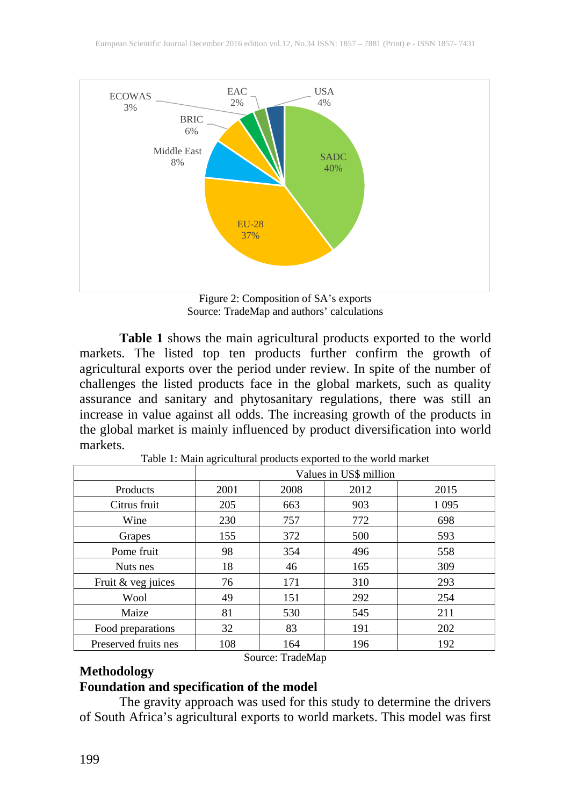

Figure 2: Composition of SA's exports Source: TradeMap and authors' calculations

**Table 1** shows the main agricultural products exported to the world markets. The listed top ten products further confirm the growth of agricultural exports over the period under review. In spite of the number of challenges the listed products face in the global markets, such as quality assurance and sanitary and phytosanitary regulations, there was still an increase in value against all odds. The increasing growth of the products in the global market is mainly influenced by product diversification into world markets.

|                      | Values in US\$ million |      |      |         |
|----------------------|------------------------|------|------|---------|
| Products             | 2001                   | 2008 | 2012 | 2015    |
| Citrus fruit         | 205                    | 663  | 903  | 1 0 9 5 |
| Wine                 | 230                    | 757  | 772  | 698     |
| Grapes               | 155                    | 372  | 500  | 593     |
| Pome fruit           | 98                     | 354  | 496  | 558     |
| Nuts nes             | 18                     | 46   | 165  | 309     |
| Fruit & veg juices   | 76                     | 171  | 310  | 293     |
| Wool                 | 49                     | 151  | 292  | 254     |
| Maize                | 81                     | 530  | 545  | 211     |
| Food preparations    | 32                     | 83   | 191  | 202     |
| Preserved fruits nes | 108                    | 164  | 196  | 192     |

Table 1: Main agricultural products exported to the world market

# **Methodology**

# Source: TradeMap

## **Foundation and specification of the model**

The gravity approach was used for this study to determine the drivers of South Africa's agricultural exports to world markets. This model was first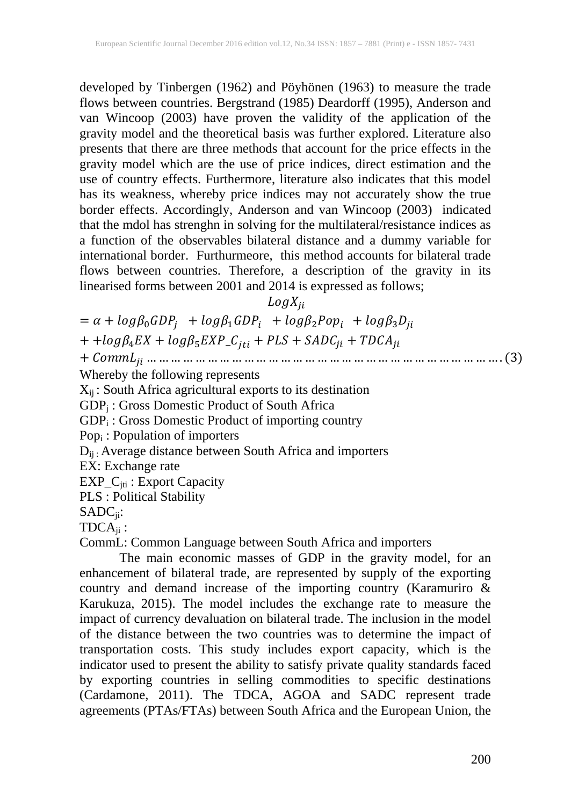developed by Tinbergen (1962) and Pöyhönen (1963) to measure the trade flows between countries. Bergstrand (1985) Deardorff (1995), Anderson and van Wincoop (2003) have proven the validity of the application of the gravity model and the theoretical basis was further explored. Literature also presents that there are three methods that account for the price effects in the gravity model which are the use of price indices, direct estimation and the use of country effects. Furthermore, literature also indicates that this model has its weakness, whereby price indices may not accurately show the true border effects. Accordingly, Anderson and van Wincoop (2003) indicated that the mdol has strenghn in solving for the multilateral/resistance indices as a function of the observables bilateral distance and a dummy variable for international border. Furthurmeore, this method accounts for bilateral trade flows between countries. Therefore, a description of the gravity in its linearised forms between 2001 and 2014 is expressed as follows;

 $LogX_{ii}$ 

 $= \alpha + log\beta_0 GDP_i + log\beta_1 GDP_i + log\beta_2 Pop_i + log\beta_3 D_{ii}$ + + $log \beta_4 EX + log \beta_5 EXP\_C_{jti} + PLS + SADC_{ji} + TDCA_{ji}$ + … … … … … … … … … … … … … … … … … … … … … … … … … … … … … . (3) Whereby the following represents  $X_{ij}$ : South Africa agricultural exports to its destination GDPj : Gross Domestic Product of South Africa GDP<sub>i</sub>: Gross Domestic Product of importing country Popi : Population of importers  $D_{ii}$ : Average distance between South Africa and importers EX: Exchange rate EXP\_C<sub>jti</sub>: Export Capacity PLS : Political Stability SADCji:  $TDCA_{ii}$ :

CommL: Common Language between South Africa and importers

The main economic masses of GDP in the gravity model, for an enhancement of bilateral trade, are represented by supply of the exporting country and demand increase of the importing country (Karamuriro & Karukuza, 2015). The model includes the exchange rate to measure the impact of currency devaluation on bilateral trade. The inclusion in the model of the distance between the two countries was to determine the impact of transportation costs. This study includes export capacity, which is the indicator used to present the ability to satisfy private quality standards faced by exporting countries in selling commodities to specific destinations (Cardamone, 2011). The TDCA, AGOA and SADC represent trade agreements (PTAs/FTAs) between South Africa and the European Union, the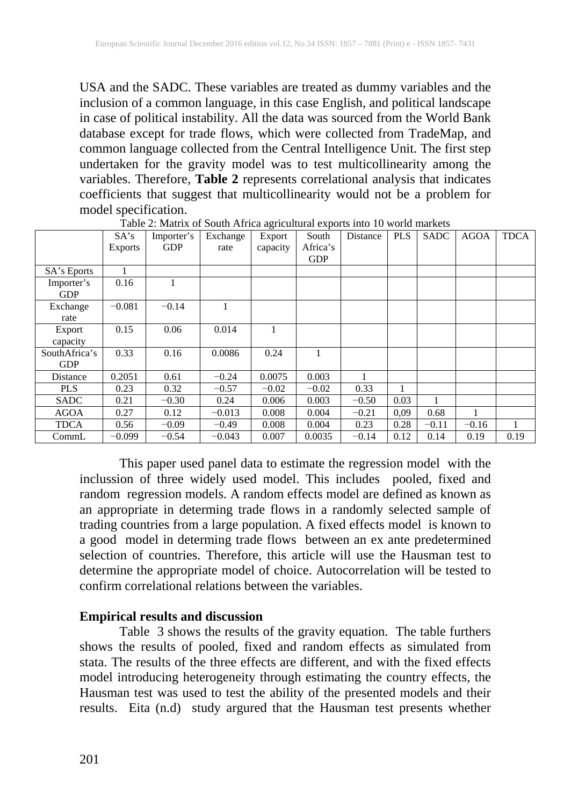USA and the SADC. These variables are treated as dummy variables and the inclusion of a common language, in this case English, and political landscape in case of political instability. All the data was sourced from the World Bank database except for trade flows, which were collected from TradeMap, and common language collected from the Central Intelligence Unit. The first step undertaken for the gravity model was to test multicollinearity among the variables. Therefore, **Table 2** represents correlational analysis that indicates coefficients that suggest that multicollinearity would not be a problem for model specification.

|               | SA's           | Importer's | Exchange | Export   | South      | Distance | <b>PLS</b> | <b>SADC</b> | <b>AGOA</b> | <b>TDCA</b> |
|---------------|----------------|------------|----------|----------|------------|----------|------------|-------------|-------------|-------------|
|               | <b>Exports</b> | <b>GDP</b> | rate     | capacity | Africa's   |          |            |             |             |             |
|               |                |            |          |          | <b>GDP</b> |          |            |             |             |             |
| SA's Eports   |                |            |          |          |            |          |            |             |             |             |
| Importer's    | 0.16           |            |          |          |            |          |            |             |             |             |
| <b>GDP</b>    |                |            |          |          |            |          |            |             |             |             |
| Exchange      | $-0.081$       | $-0.14$    |          |          |            |          |            |             |             |             |
| rate          |                |            |          |          |            |          |            |             |             |             |
| Export        | 0.15           | 0.06       | 0.014    |          |            |          |            |             |             |             |
| capacity      |                |            |          |          |            |          |            |             |             |             |
| SouthAfrica's | 0.33           | 0.16       | 0.0086   | 0.24     |            |          |            |             |             |             |
| <b>GDP</b>    |                |            |          |          |            |          |            |             |             |             |
| Distance      | 0.2051         | 0.61       | $-0.24$  | 0.0075   | 0.003      |          |            |             |             |             |
| <b>PLS</b>    | 0.23           | 0.32       | $-0.57$  | $-0.02$  | $-0.02$    | 0.33     |            |             |             |             |
| <b>SADC</b>   | 0.21           | $-0.30$    | 0.24     | 0.006    | 0.003      | $-0.50$  | 0.03       | -1          |             |             |
| <b>AGOA</b>   | 0.27           | 0.12       | $-0.013$ | 0.008    | 0.004      | $-0.21$  | 0.09       | 0.68        | 1           |             |
| <b>TDCA</b>   | 0.56           | $-0.09$    | $-0.49$  | 0.008    | 0.004      | 0.23     | 0.28       | $-0.11$     | $-0.16$     |             |
| CommL         | $-0.099$       | $-0.54$    | $-0.043$ | 0.007    | 0.0035     | $-0.14$  | 0.12       | 0.14        | 0.19        | 0.19        |

Table 2: Matrix of South Africa agricultural exports into 10 world markets

This paper used panel data to estimate the regression model with the inclussion of three widely used model. This includes pooled, fixed and random regression models. A random effects model are defined as known as an appropriate in determing trade flows in a randomly selected sample of trading countries from a large population. A fixed effects model is known to a good model in determing trade flows between an ex ante predetermined selection of countries. Therefore, this article will use the Hausman test to determine the appropriate model of choice. Autocorrelation will be tested to confirm correlational relations between the variables.

### **Empirical results and discussion**

Table 3 shows the results of the gravity equation. The table furthers shows the results of pooled, fixed and random effects as simulated from stata. The results of the three effects are different, and with the fixed effects model introducing heterogeneity through estimating the country effects, the Hausman test was used to test the ability of the presented models and their results. Eita (n.d) study argured that the Hausman test presents whether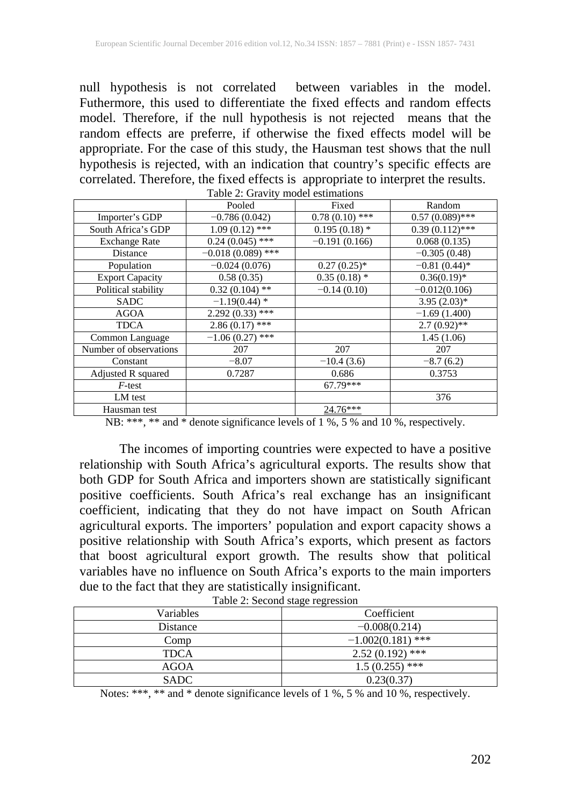null hypothesis is not correlated between variables in the model. Futhermore, this used to differentiate the fixed effects and random effects model. Therefore, if the null hypothesis is not rejected means that the random effects are preferre, if otherwise the fixed effects model will be appropriate. For the case of this study, the Hausman test shows that the null hypothesis is rejected, with an indication that country's specific effects are correlated. Therefore, the fixed effects is appropriate to interpret the results.

|                        | Table 2. Gravity model estimations |                  |                   |
|------------------------|------------------------------------|------------------|-------------------|
|                        | Pooled                             | Fixed            | Random            |
| Importer's GDP         | $-0.786(0.042)$                    | $0.78(0.10)$ *** | $0.57(0.089)$ *** |
| South Africa's GDP     | $1.09(0.12)$ ***                   | $0.195(0.18)$ *  | $0.39(0.112)$ *** |
| <b>Exchange Rate</b>   | $0.24(0.045)$ ***                  | $-0.191(0.166)$  | 0.068(0.135)      |
| Distance               | $-0.018(0.089)$ ***                |                  | $-0.305(0.48)$    |
| Population             | $-0.024(0.076)$                    | $0.27(0.25)$ *   | $-0.81(0.44)$ *   |
| <b>Export Capacity</b> | 0.58(0.35)                         | $0.35(0.18)$ *   | $0.36(0.19)$ *    |
| Political stability    | $0.32(0.104)$ **                   | $-0.14(0.10)$    | $-0.012(0.106)$   |
| <b>SADC</b>            | $-1.19(0.44)$ *                    |                  | $3.95(2.03)*$     |
| <b>AGOA</b>            | $2.292(0.33)$ ***                  |                  | $-1.69(1.400)$    |
| <b>TDCA</b>            | $2.86(0.17)$ ***                   |                  | $2.7(0.92)$ **    |
| Common Language        | $-1.06(0.27)$ ***                  |                  | 1.45(1.06)        |
| Number of observations | 207                                | 207              | 207               |
| Constant               | $-8.07$                            | $-10.4(3.6)$     | $-8.7(6.2)$       |
| Adjusted R squared     | 0.7287                             | 0.686            | 0.3753            |
| $F$ -test              |                                    | 67.79***         |                   |
| LM test                |                                    |                  | 376               |
| Hausman test           |                                    | $24.76***$       |                   |

Table 2: Gravity model estimations

NB: \*\*\*, \*\* and \* denote significance levels of 1 %, 5 % and 10 %, respectively.

The incomes of importing countries were expected to have a positive relationship with South Africa's agricultural exports. The results show that both GDP for South Africa and importers shown are statistically significant positive coefficients. South Africa's real exchange has an insignificant coefficient, indicating that they do not have impact on South African agricultural exports. The importers' population and export capacity shows a positive relationship with South Africa's exports, which present as factors that boost agricultural export growth. The results show that political variables have no influence on South Africa's exports to the main importers due to the fact that they are statistically insignificant.

| $14010$ $\mu$ , become $5000$ $10 \mu$ |                     |  |  |  |
|----------------------------------------|---------------------|--|--|--|
| Variables                              | Coefficient         |  |  |  |
| Distance                               | $-0.008(0.214)$     |  |  |  |
| Comp                                   | $-1.002(0.181)$ *** |  |  |  |
| <b>TDCA</b>                            | $2.52(0.192)$ ***   |  |  |  |
| <b>AGOA</b>                            | $1.5(0.255)$ ***    |  |  |  |
| <b>SADC</b>                            | 0.23(0.37)          |  |  |  |

Table 2: Second stage regression

Notes: \*\*\*, \*\* and \* denote significance levels of 1 %, 5 % and 10 %, respectively.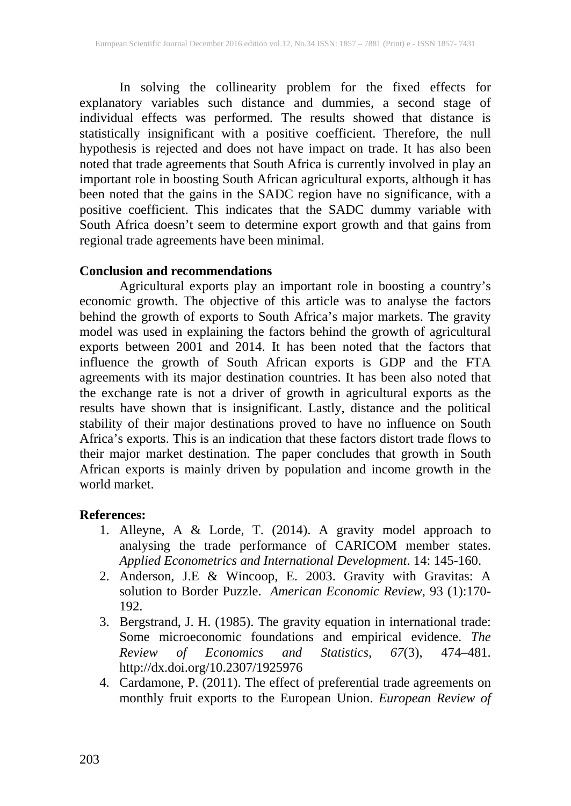In solving the collinearity problem for the fixed effects for explanatory variables such distance and dummies, a second stage of individual effects was performed. The results showed that distance is statistically insignificant with a positive coefficient. Therefore, the null hypothesis is rejected and does not have impact on trade. It has also been noted that trade agreements that South Africa is currently involved in play an important role in boosting South African agricultural exports, although it has been noted that the gains in the SADC region have no significance, with a positive coefficient. This indicates that the SADC dummy variable with South Africa doesn't seem to determine export growth and that gains from regional trade agreements have been minimal.

### **Conclusion and recommendations**

Agricultural exports play an important role in boosting a country's economic growth. The objective of this article was to analyse the factors behind the growth of exports to South Africa's major markets. The gravity model was used in explaining the factors behind the growth of agricultural exports between 2001 and 2014. It has been noted that the factors that influence the growth of South African exports is GDP and the FTA agreements with its major destination countries. It has been also noted that the exchange rate is not a driver of growth in agricultural exports as the results have shown that is insignificant. Lastly, distance and the political stability of their major destinations proved to have no influence on South Africa's exports. This is an indication that these factors distort trade flows to their major market destination. The paper concludes that growth in South African exports is mainly driven by population and income growth in the world market.

### **References:**

- 1. Alleyne, A & Lorde, T. (2014). A gravity model approach to analysing the trade performance of CARICOM member states. *Applied Econometrics and International Development*. 14: 145-160.
- 2. Anderson, J.E & Wincoop, E. 2003. Gravity with Gravitas: A solution to Border Puzzle. *American Economic Review*, 93 (1):170- 192.
- 3. Bergstrand, J. H. (1985). The gravity equation in international trade: Some microeconomic foundations and empirical evidence. *The Review of Economics and Statistics, 67*(3), 474–481. http://dx.doi.org/10.2307/1925976
- 4. Cardamone, P. (2011). The effect of preferential trade agreements on monthly fruit exports to the European Union. *European Review of*